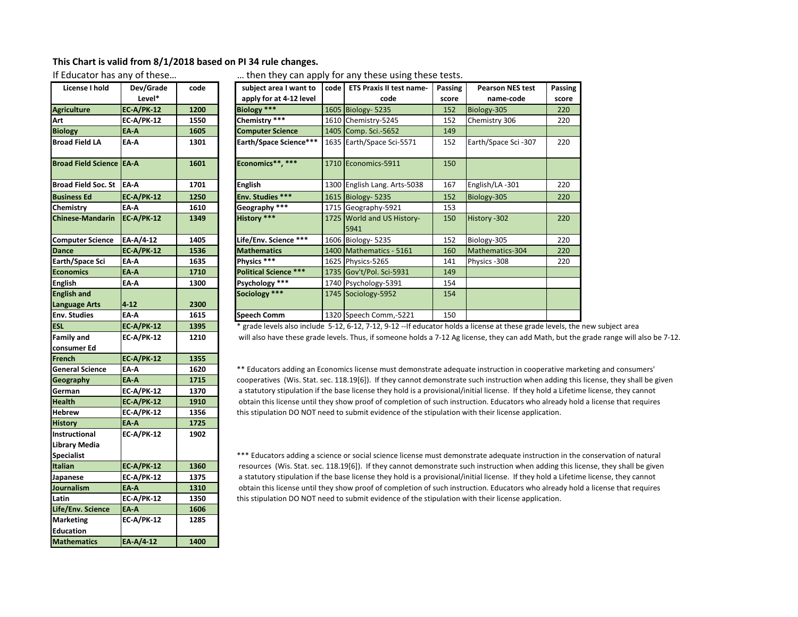## **This Chart is valid from 8/1/2018 based on PI 34 rule changes.**

| License I hold             | Dev/Grade         | code |
|----------------------------|-------------------|------|
|                            | Level*            |      |
| <b>Agriculture</b>         | <b>EC-A/PK-12</b> | 1200 |
| Art                        | <b>EC-A/PK-12</b> | 1550 |
| <b>Biology</b>             | ΕΑ Α              | 1605 |
| <b>Broad Field LA</b>      | EA-A              | 1301 |
|                            |                   |      |
| <b>Broad Field Science</b> | <b>EA-A</b>       | 1601 |
| <b>Broad Field Soc. St</b> | EA-A              | 1701 |
| <b>Business Ed</b>         | <b>EC-A/PK-12</b> | 1250 |
| Chemistry                  | EA-A              | 1610 |
| <b>Chinese-Mandarin</b>    | <b>EC-A/PK-12</b> | 1349 |
|                            |                   |      |
| <b>Computer Science</b>    | EA-A/4-12         | 1405 |
| <b>Dance</b>               | <b>EC-A/PK-12</b> | 1536 |
| Earth/Space Sci            | EA-A              | 1635 |
| <b>Economics</b>           | EA-A              | 1710 |
| <b>English</b>             | EA-A              | 1300 |
| <b>English and</b>         |                   |      |
| <b>Language Arts</b>       | $4 - 12$          | 2300 |
| <b>Env. Studies</b>        | EA-A              | 1615 |
| <b>ESL</b>                 | <b>EC-A/PK-12</b> | 1395 |
| <b>Family and</b>          | <b>EC-A/PK-12</b> | 1210 |
| consumer Ed                |                   |      |
| French                     | <b>EC-A/PK-12</b> | 1355 |
| <b>General Science</b>     | EA-A              | 1620 |
| Geography                  | EA-A              | 1715 |
| German                     | <b>EC-A/PK-12</b> | 1370 |
| Health                     | <b>EC-A/PK-12</b> | 1910 |
| <b>Hebrew</b>              | <b>EC-A/PK-12</b> | 1356 |
| <b>History</b>             | ΕΛ-Α              | 1725 |
| Instructional              | <b>EC-A/PK-12</b> | 1902 |
| Library Media              |                   |      |
| <b>Specialist</b>          |                   |      |
| <b>Italian</b>             | <b>EC-A/PK-12</b> | 1360 |
| Japanese                   | <b>EC-A/PK-12</b> | 1375 |
| Journalism                 | EA-A              | 1310 |
| Latin                      | <b>EC-A/PK-12</b> | 1350 |
| Life/Env. Science          | EA-A              | 1606 |
| <b>Marketing</b>           | <b>EC-A/PK-12</b> | 1285 |
| <b>Education</b>           |                   |      |
| <b>Mathematics</b>         | EA-A/4-12         | 1400 |

If Educator has any of these... . . . . . . . . . . then they can apply for any these using these tests.

| License I hold                      | Dev/Grade         | code | subject area I want to       | code l | <b>ETS Praxis II test name-</b>    | Passing | <b>Pearson NES test</b> | Passing |
|-------------------------------------|-------------------|------|------------------------------|--------|------------------------------------|---------|-------------------------|---------|
|                                     | Level*            |      | apply for at 4-12 level      |        | code                               | score   | name-code               | score   |
| <b>Agriculture</b>                  | <b>EC-A/PK-12</b> | 1200 | Biology ***                  |        | 1605 Biology- 5235                 | 152     | Biology-305             | 220     |
| Art                                 | <b>EC-A/PK-12</b> | 1550 | Chemistry ***                |        | 1610 Chemistry-5245                | 152     | Chemistry 306           | 220     |
| <b>Biology</b>                      | EA-A              | 1605 | <b>Computer Science</b>      |        | 1405 Comp. Sci.-5652               | 149     |                         |         |
| <b>Broad Field LA</b>               | EA-A              | 1301 | Earth/Space Science***       |        | 1635 Earth/Space Sci-5571          | 152     | Earth/Space Sci-307     | 220     |
| Broad Field Science LEA-A           |                   | 1601 | Economics**. ***             |        | 1710 Economics-5911                | 150     |                         |         |
| Broad Field Soc. St                 | <b>EA-A</b>       | 1701 | <b>English</b>               |        | 1300 English Lang. Arts-5038       | 167     | English/LA-301          | 220     |
| <b>Business Ed</b>                  | <b>EC-A/PK-12</b> | 1250 | Env. Studies ***             |        | 1615 Biology- 5235                 | 152     | Biology-305             | 220     |
| Chemistry                           | EA-A              | 1610 | Geography ***                |        | 1715 Geography-5921                | 153     |                         |         |
| <b>Chinese-Mandarin</b>             | <b>EC-A/PK-12</b> | 1349 | History ***                  |        | 1725 World and US History-<br>5941 | 150     | History -302            | 220     |
| <b>Computer Science</b>             | EA-A/4-12         | 1405 | Life/Env. Science ***        |        | 1606 Biology- 5235                 | 152     | Biology-305             | 220     |
| <b>Dance</b>                        | EC-A/PK-12        | 1536 | <b>Mathematics</b>           |        | 1400   Mathematics - 5161          | 160     | Mathematics-304         | 220     |
| Earth/Space Sci                     | EA-A              | 1635 | Physics ***                  |        | 1625 Physics-5265                  | 141     | Physics -308            | 220     |
| <b>Economics</b>                    | EA-A              | 1710 | <b>Political Science ***</b> |        | 1735 Gov't/Pol. Sci-5931           | 149     |                         |         |
| English                             | EA-A              | 1300 | Psychology ***               |        | 1740 Psychology-5391               | 154     |                         |         |
| <b>English and</b><br>Language Arts | $4 - 12$          | 2300 | Sociology ***                |        | 1745 Sociology-5952                | 154     |                         |         |
| Env. Studies                        | EA-A              | 1615 | Speech Comm                  |        | 1320 Speech Comm,-5221             | 150     |                         |         |

**ESL EC‐A/PK‐12 1395** \* grade levels also include 5‐12, 6‐12, 7‐12, 9‐12 ‐‐If educator holds a license at these grade levels, the new subject area will also have these grade levels. Thus, if someone holds a 7-12 Ag license, they can add Math, but the grade range will also be 7-12.

\*\* Educators adding an Economics license must demonstrate adequate instruction in cooperative marketing and consumers' cooperatives (Wis. Stat. sec. 118.19[6]). If they cannot demonstrate such instruction when adding this license, they shall be given a statutory stipulation if the base license they hold is a provisional/initial license. If they hold a Lifetime license, they cannot **Health EC‐A/PK‐12 1910** obtain this license until they show proof of completion of such instruction. Educators who already hold a license that requires this stipulation DO NOT need to submit evidence of the stipulation with their license application.

\*\*\* Educators adding a science or social science license must demonstrate adequate instruction in the conservation of natural resources (Wis. Stat. sec. 118.19[6]). If they cannot demonstrate such instruction when adding this license, they shall be given a statutory stipulation if the base license they hold is a provisional/initial license. If they hold a Lifetime license, they cannot obtain this license until they show proof of completion of such instruction. Educators who already hold a license that requires **Latin EC‐A/PK‐12 1350** this stipulation DO NOT need to submit evidence of the stipulation with their license application.